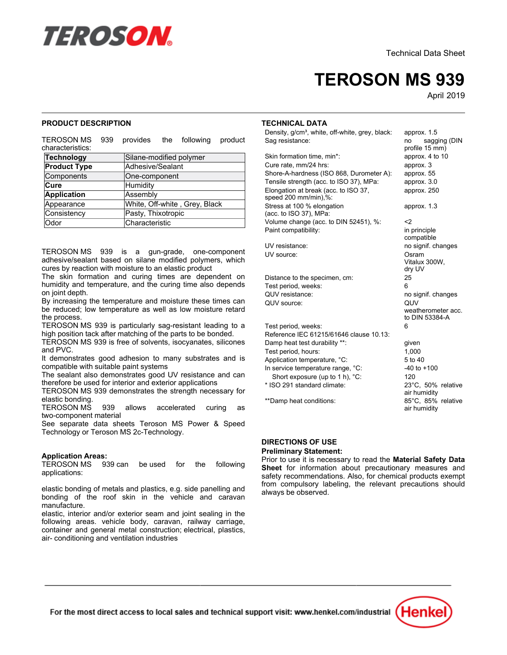

# **TEROSON MS 939**

April-2019

approx. 1.5<br>no sagging (DIN

# **PRODUCT DESCRIPTION**

TEROSON MSprovides the following product characteristics:

| <b>Technology</b>   | Silane-modified polymer       |
|---------------------|-------------------------------|
| <b>Product Type</b> | Adhesive/Sealant              |
| Components          | One-component                 |
| <b>Cure</b>         | Humidity                      |
| <b>Application</b>  | Assembly                      |
| Appearance          | White, Off-white, Grey, Black |
| Consistency         | Pasty, Thixotropic            |
| Odor                | Characteristic                |

TEROSON MS 939 is a gun-grade, one-component adhesive/sealant based on silane modified polymers, which cures by reaction with moisture to an elastic product

The skin formation and curing times are dependent on humidity and temperature, and the curing time also depends namally and l<br>on joint depth.

on joint depth.<br>By increasing the temperature and moisture these times can be reduced; low temperature as well as low moisture retard be reduced,<br>the process.

TEROSON MS 939 is particularly sag-resistant leading to a high position tack after matching of the parts to be bonded.

TEROSON MS 939 is free of solvents, isocyanates, silicones and PVC.

and i vo.<br>It demonstrates good adhesion to many substrates and is compatible with suitable paint systems

The sealant also demonstrates good UV resistance and can The scalant also demonstrates good ov resistance<br>therefore be used for interior and exterior applications

TEROSON MS 939 demonstrates the strength necessary for elastic bonding.

TEROSON MS 939 allows accelerated curing as two-component material

See separate data sheets Teroson MS Power & Speed Technology or Teroson MS 2c-Technology.

# **Application Areas:**

TEROSON MS 939 can be used for the following applications:

elastic bonding of metals and plastics, e.g. side panelling and bonding of the roof skin in the vehicle and caravan ponung or<br>manufacture.

elastic, interior and/or exterior seam and joint sealing in the following areas. vehicle body, caravan, railway carriage, container and general metal construction; electrical, plastics, air- conditioning and ventilation industries

#### **TECHNICAL DATA**

Density, g/cm<sup>3</sup>, white, off-white, grey, black: approx, 1.5 Sag resistance:

Skin formation time, min\*: approx. 4 to 10 Cure rate, mm/24 hrs: approx. 3 Shore-A-hardness (ISO 868, Durometer A): approx. 55 Tensile strength (acc. to ISO 37), MPa: approx. 3.0 Elongation at break (acc. to ISO 37, speed 200 mm/min),%: Stress at 100 % elongation (acc. to ISO 37), MPa: Volume change (acc. to DIN 52451), %:  $\leq$ Paint compatibility: in principle of paint compatibility:

UV resistance: UV source: Osram

Distance to the specimen, cm: 25 Test period, weeks: 6 QUV resistance: QUV source: QUV

Test period, weeks: 6 Reference IEC 61215/61646 clause 10.13: nessence the control of the case of the control of the part of the part of the control of the part of the part of the part of the part of the part of the part of the part of the part of the part of the part of the part of Test period, hours: 1,000 Application temperature, °C: 5 to 40 In service temperature range, °C: -40 to +100 Short exposure (up to 1 h), °C: 120 \* ISO 291 standard climate: 23°C, 50% relative \*\*Damp heat conditions:

profile 15 mm) approx. 250 approx. 1.3 m principic<br>compatible no signif. changes Vitalux 300W, dry UV no signif. changes weatherometer acc. to DIN 53384-A air humidity 85°C, 85% relative air humidity

#### **DIRECTIONS OF USE**

#### **Preliminary Statement:**

Prior to use it is necessary to read the **Material Safety Data Sheet** for information about precautionary measures and safety recommendations. Also, for chemical products exempt salety recommendations. Also, for enermedi-products exempt<br>from compulsory labeling, the relevant precautions should nom compuisory ia<br>always be observed.